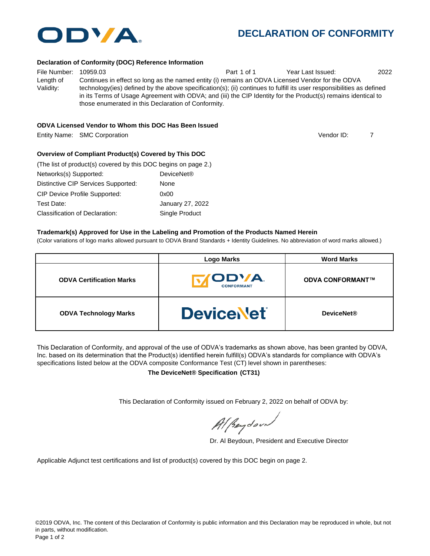

# **DECLARATION OF CONFORMITY**

#### **Declaration of Conformity (DOC) Reference Information**

File Number: 10959.03 Part 1 of 1 Year Last Issued: 2022 Length of Validity: Continues in effect so long as the named entity (i) remains an ODVA Licensed Vendor for the ODVA technology(ies) defined by the above specification(s); (ii) continues to fulfill its user responsibilities as defined in its Terms of Usage Agreement with ODVA; and (iii) the CIP Identity for the Product(s) remains identical to those enumerated in this Declaration of Conformity.

#### **ODVA Licensed Vendor to Whom this DOC Has Been Issued**

Entity Name: SMC Corporation 7

Vendor ID:

#### **Overview of Compliant Product(s) Covered by This DOC**

| (The list of product(s) covered by this DOC begins on page 2.) |                        |  |  |
|----------------------------------------------------------------|------------------------|--|--|
| Networks(s) Supported:                                         | DeviceNet <sup>®</sup> |  |  |
| Distinctive CIP Services Supported:                            | None                   |  |  |
| <b>CIP Device Profile Supported:</b>                           | 0x00                   |  |  |
| Test Date:                                                     | January 27, 2022       |  |  |
| Classification of Declaration:                                 | Single Product         |  |  |

#### **Trademark(s) Approved for Use in the Labeling and Promotion of the Products Named Herein**

(Color variations of logo marks allowed pursuant to ODVA Brand Standards + Identity Guidelines. No abbreviation of word marks allowed.)

|                                 | <b>Logo Marks</b>                   | <b>Word Marks</b>       |  |
|---------------------------------|-------------------------------------|-------------------------|--|
| <b>ODVA Certification Marks</b> | <b>ITODVA.</b><br><b>CONFORMANT</b> | <b>ODVA CONFORMANT™</b> |  |
| <b>ODVA Technology Marks</b>    | <b>DeviceNet</b>                    | <b>DeviceNet®</b>       |  |

This Declaration of Conformity, and approval of the use of ODVA's trademarks as shown above, has been granted by ODVA, Inc. based on its determination that the Product(s) identified herein fulfill(s) ODVA's standards for compliance with ODVA's specifications listed below at the ODVA composite Conformance Test (CT) level shown in parentheses:

**The DeviceNet® Specification (CT31)**

This Declaration of Conformity issued on February 2, 2022 on behalf of ODVA by:

Al peydound

Dr. Al Beydoun, President and Executive Director

Applicable Adjunct test certifications and list of product(s) covered by this DOC begin on page 2.